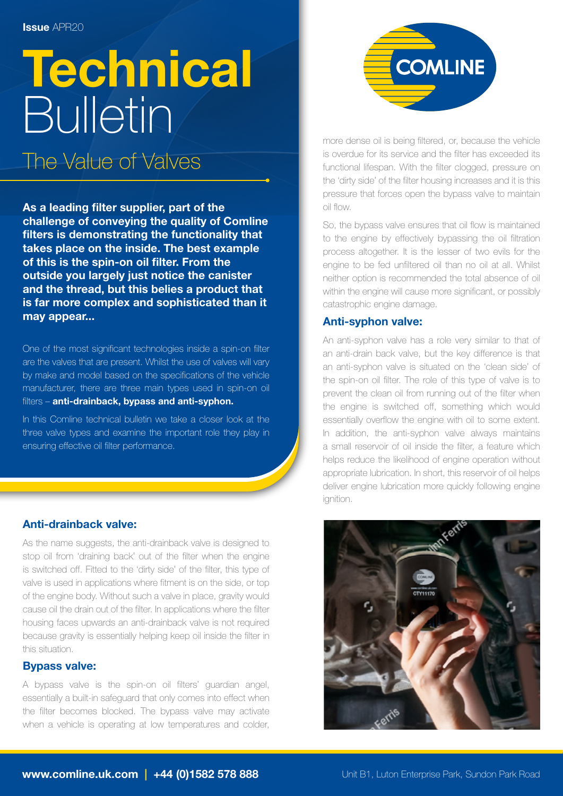# **Technical** Bulletin

The Value of Valves

As a leading filter supplier, part of the challenge of conveying the quality of Comline filters is demonstrating the functionality that takes place on the inside. The best example of this is the spin-on oil filter. From the outside you largely just notice the canister and the thread, but this belies a product that is far more complex and sophisticated than it may appear...

One of the most significant technologies inside a spin-on filter are the valves that are present. Whilst the use of valves will vary by make and model based on the specifications of the vehicle manufacturer, there are three main types used in spin-on oil filters - anti-drainback, bypass and anti-syphon.

In this Comline technical bulletin we take a closer look at the three valve types and examine the important role they play in ensuring effective oil filter performance.

# Anti-drainback valve:

As the name suggests, the anti-drainback valve is designed to stop oil from 'draining back' out of the filter when the engine is switched off. Fitted to the 'dirty side' of the filter, this type of valve is used in applications where fitment is on the side, or top of the engine body. Without such a valve in place, gravity would cause oil the drain out of the filter. In applications where the filter housing faces upwards an anti-drainback valve is not required because gravity is essentially helping keep oil inside the filter in this situation.

# Bypass valve:

A bypass valve is the spin-on oil filters' guardian angel, essentially a built-in safeguard that only comes into effect when the filter becomes blocked. The bypass valve may activate when a vehicle is operating at low temperatures and colder,



more dense oil is being filtered, or, because the vehicle is overdue for its service and the filter has exceeded its functional lifespan. With the filter clogged, pressure on the 'dirty side' of the filter housing increases and it is this pressure that forces open the bypass valve to maintain oil flow.

So, the bypass valve ensures that oil flow is maintained to the engine by effectively bypassing the oil filtration process altogether. It is the lesser of two evils for the engine to be fed unfiltered oil than no oil at all. Whilst neither option is recommended the total absence of oil within the engine will cause more significant, or possibly catastrophic engine damage.

## Anti-syphon valve:

An anti-syphon valve has a role very similar to that of an anti-drain back valve, but the key difference is that an anti-syphon valve is situated on the 'clean side' of the spin-on oil filter. The role of this type of valve is to prevent the clean oil from running out of the filter when the engine is switched off, something which would essentially overflow the engine with oil to some extent. In addition, the anti-syphon valve always maintains a small reservoir of oil inside the filter, a feature which helps reduce the likelihood of engine operation without appropriate lubrication. In short, this reservoir of oil helps deliver engine lubrication more quickly following engine ignition.